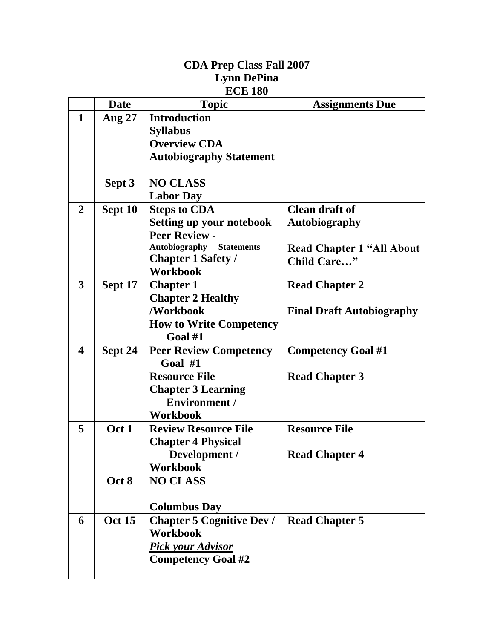|                         |               | <b>Lynn DePina</b>               |                                  |
|-------------------------|---------------|----------------------------------|----------------------------------|
|                         |               | <b>ECE 180</b>                   |                                  |
|                         | <b>Date</b>   | <b>Topic</b>                     | <b>Assignments Due</b>           |
| 1                       | <b>Aug 27</b> | <b>Introduction</b>              |                                  |
|                         |               | <b>Syllabus</b>                  |                                  |
|                         |               | <b>Overview CDA</b>              |                                  |
|                         |               | <b>Autobiography Statement</b>   |                                  |
|                         | Sept 3        | <b>NO CLASS</b>                  |                                  |
|                         |               | <b>Labor Day</b>                 |                                  |
| $\overline{2}$          | Sept 10       | <b>Steps to CDA</b>              | <b>Clean draft of</b>            |
|                         |               | <b>Setting up your notebook</b>  | <b>Autobiography</b>             |
|                         |               | <b>Peer Review -</b>             |                                  |
|                         |               | <b>Autobiography Statements</b>  | <b>Read Chapter 1 "All About</b> |
|                         |               | <b>Chapter 1 Safety /</b>        | Child Care"                      |
|                         |               | <b>Workbook</b>                  |                                  |
| $\mathbf{3}$            | Sept 17       | <b>Chapter 1</b>                 | <b>Read Chapter 2</b>            |
|                         |               | <b>Chapter 2 Healthy</b>         |                                  |
|                         |               | /Workbook                        | <b>Final Draft Autobiography</b> |
|                         |               | <b>How to Write Competency</b>   |                                  |
|                         |               | Goal #1                          |                                  |
| $\overline{\mathbf{4}}$ | Sept 24       | <b>Peer Review Competency</b>    | <b>Competency Goal #1</b>        |
|                         |               | Goal $#1$                        |                                  |
|                         |               | <b>Resource File</b>             | <b>Read Chapter 3</b>            |
|                         |               | <b>Chapter 3 Learning</b>        |                                  |
|                         |               | <b>Environment /</b>             |                                  |
|                         |               | <b>Workbook</b>                  |                                  |
| 5                       | Oct 1         | <b>Review Resource File</b>      | <b>Resource File</b>             |
|                         |               | <b>Chapter 4 Physical</b>        |                                  |
|                         |               | Development /                    | <b>Read Chapter 4</b>            |
|                         |               | <b>Workbook</b>                  |                                  |
|                         | Oct 8         | <b>NO CLASS</b>                  |                                  |
|                         |               |                                  |                                  |
|                         |               | <b>Columbus Day</b>              |                                  |
| 6                       | <b>Oct 15</b> | <b>Chapter 5 Cognitive Dev /</b> | <b>Read Chapter 5</b>            |
|                         |               | <b>Workbook</b>                  |                                  |
|                         |               | <b>Pick your Advisor</b>         |                                  |
|                         |               | <b>Competency Goal #2</b>        |                                  |
|                         |               |                                  |                                  |

**CDA Prep Class Fall 2007**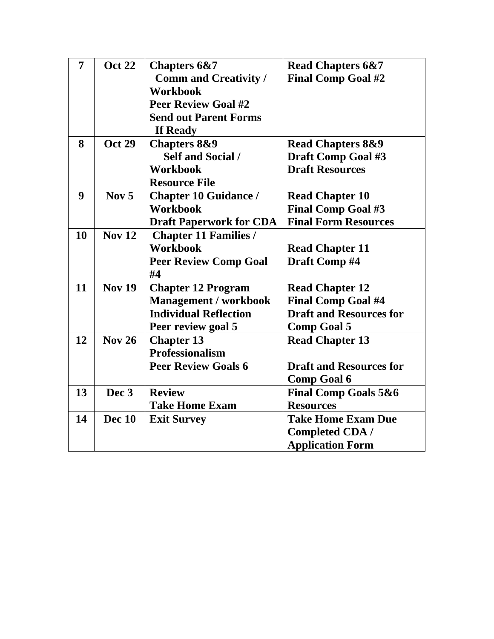| 7  | <b>Oct 22</b>    | <b>Chapters 6&amp;7</b>        | <b>Read Chapters 6&amp;7</b>    |
|----|------------------|--------------------------------|---------------------------------|
|    |                  | <b>Comm and Creativity /</b>   | <b>Final Comp Goal #2</b>       |
|    |                  | <b>Workbook</b>                |                                 |
|    |                  | <b>Peer Review Goal #2</b>     |                                 |
|    |                  | <b>Send out Parent Forms</b>   |                                 |
|    |                  | If Ready                       |                                 |
| 8  | <b>Oct 29</b>    | <b>Chapters 8&amp;9</b>        | <b>Read Chapters 8&amp;9</b>    |
|    |                  | <b>Self and Social /</b>       | <b>Draft Comp Goal #3</b>       |
|    |                  | <b>Workbook</b>                | <b>Draft Resources</b>          |
|    |                  | <b>Resource File</b>           |                                 |
| 9  | Nov $5$          | <b>Chapter 10 Guidance /</b>   | <b>Read Chapter 10</b>          |
|    |                  | <b>Workbook</b>                | <b>Final Comp Goal #3</b>       |
|    |                  | <b>Draft Paperwork for CDA</b> | <b>Final Form Resources</b>     |
| 10 | <b>Nov 12</b>    | <b>Chapter 11 Families /</b>   |                                 |
|    |                  | <b>Workbook</b>                | <b>Read Chapter 11</b>          |
|    |                  | <b>Peer Review Comp Goal</b>   | Draft Comp #4                   |
|    |                  | #4                             |                                 |
| 11 | <b>Nov 19</b>    | <b>Chapter 12 Program</b>      | <b>Read Chapter 12</b>          |
|    |                  | <b>Management / workbook</b>   | <b>Final Comp Goal #4</b>       |
|    |                  | <b>Individual Reflection</b>   | <b>Draft and Resources for</b>  |
|    |                  | Peer review goal 5             | <b>Comp Goal 5</b>              |
| 12 | <b>Nov 26</b>    | <b>Chapter 13</b>              | <b>Read Chapter 13</b>          |
|    |                  | <b>Professionalism</b>         |                                 |
|    |                  | <b>Peer Review Goals 6</b>     | <b>Draft and Resources for</b>  |
|    |                  |                                | <b>Comp Goal 6</b>              |
| 13 | Dec <sub>3</sub> | <b>Review</b>                  | <b>Final Comp Goals 5&amp;6</b> |
|    |                  | <b>Take Home Exam</b>          | <b>Resources</b>                |
| 14 | Dec 10           | <b>Exit Survey</b>             | <b>Take Home Exam Due</b>       |
|    |                  |                                | <b>Completed CDA /</b>          |
|    |                  |                                | <b>Application Form</b>         |